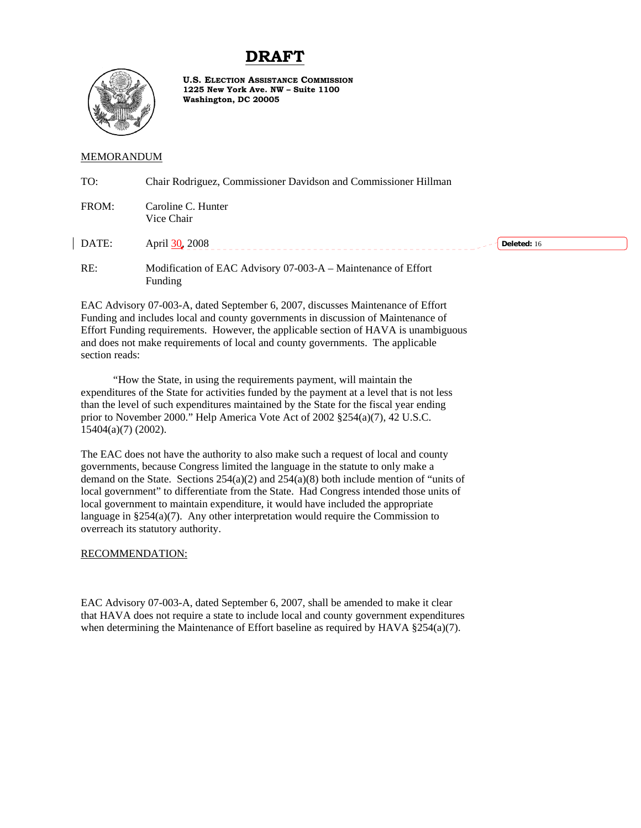## **DRAFT**



**U.S. ELECTION ASSISTANCE COMMISSION 1225 New York Ave. NW – Suite 1100 Washington, DC 20005**

## MEMORANDUM

| TO:   | Chair Rodriguez, Commissioner Davidson and Commissioner Hillman          |
|-------|--------------------------------------------------------------------------|
| FROM: | Caroline C. Hunter<br>Vice Chair                                         |
| DATE: | April 30, 2008<br>Deleted: 16                                            |
| RE:   | Modification of EAC Advisory 07-003-A – Maintenance of Effort<br>Funding |

EAC Advisory 07-003-A, dated September 6, 2007, discusses Maintenance of Effort Funding and includes local and county governments in discussion of Maintenance of Effort Funding requirements. However, the applicable section of HAVA is unambiguous and does not make requirements of local and county governments. The applicable section reads:

"How the State, in using the requirements payment, will maintain the expenditures of the State for activities funded by the payment at a level that is not less than the level of such expenditures maintained by the State for the fiscal year ending prior to November 2000." Help America Vote Act of 2002 §254(a)(7), 42 U.S.C. 15404(a)(7) (2002).

The EAC does not have the authority to also make such a request of local and county governments, because Congress limited the language in the statute to only make a demand on the State. Sections  $254(a)(2)$  and  $254(a)(8)$  both include mention of "units of local government" to differentiate from the State. Had Congress intended those units of local government to maintain expenditure, it would have included the appropriate language in §254(a)(7). Any other interpretation would require the Commission to overreach its statutory authority.

## RECOMMENDATION:

EAC Advisory 07-003-A, dated September 6, 2007, shall be amended to make it clear that HAVA does not require a state to include local and county government expenditures when determining the Maintenance of Effort baseline as required by HAVA  $\S$ 254(a)(7).